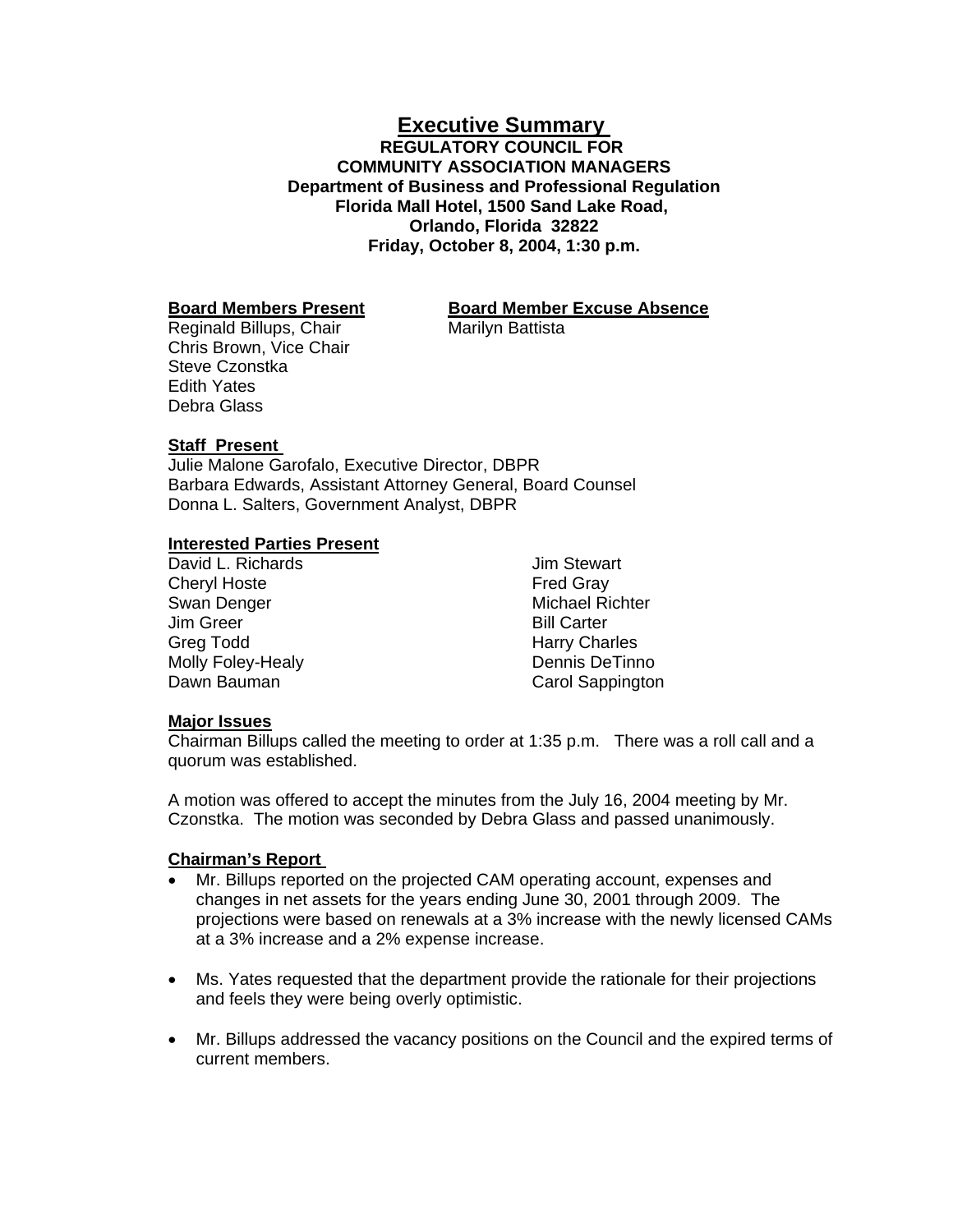## **Executive Summary REGULATORY COUNCIL FOR COMMUNITY ASSOCIATION MANAGERS Department of Business and Professional Regulation Florida Mall Hotel, 1500 Sand Lake Road, Orlando, Florida 32822 Friday, October 8, 2004, 1:30 p.m.**

# **Board Members Present Board Member Excuse Absence**

Reginald Billups, Chair Marilyn Battista Chris Brown, Vice Chair Steve Czonstka Edith Yates Debra Glass

## **Staff Present**

Julie Malone Garofalo, Executive Director, DBPR Barbara Edwards, Assistant Attorney General, Board Counsel Donna L. Salters, Government Analyst, DBPR

## **Interested Parties Present**

David L. Richards Cheryl Hoste Swan Denger Jim Greer Greg Todd Molly Foley-Healy Dawn Bauman

Jim Stewart Fred Gray Michael Richter Bill Carter Harry Charles Dennis DeTinno Carol Sappington

## **Major Issues**

Chairman Billups called the meeting to order at 1:35 p.m. There was a roll call and a quorum was established.

A motion was offered to accept the minutes from the July 16, 2004 meeting by Mr. Czonstka. The motion was seconded by Debra Glass and passed unanimously.

## **Chairman's Report**

- Mr. Billups reported on the projected CAM operating account, expenses and changes in net assets for the years ending June 30, 2001 through 2009. The projections were based on renewals at a 3% increase with the newly licensed CAMs at a 3% increase and a 2% expense increase.
- Ms. Yates requested that the department provide the rationale for their projections and feels they were being overly optimistic.
- Mr. Billups addressed the vacancy positions on the Council and the expired terms of current members.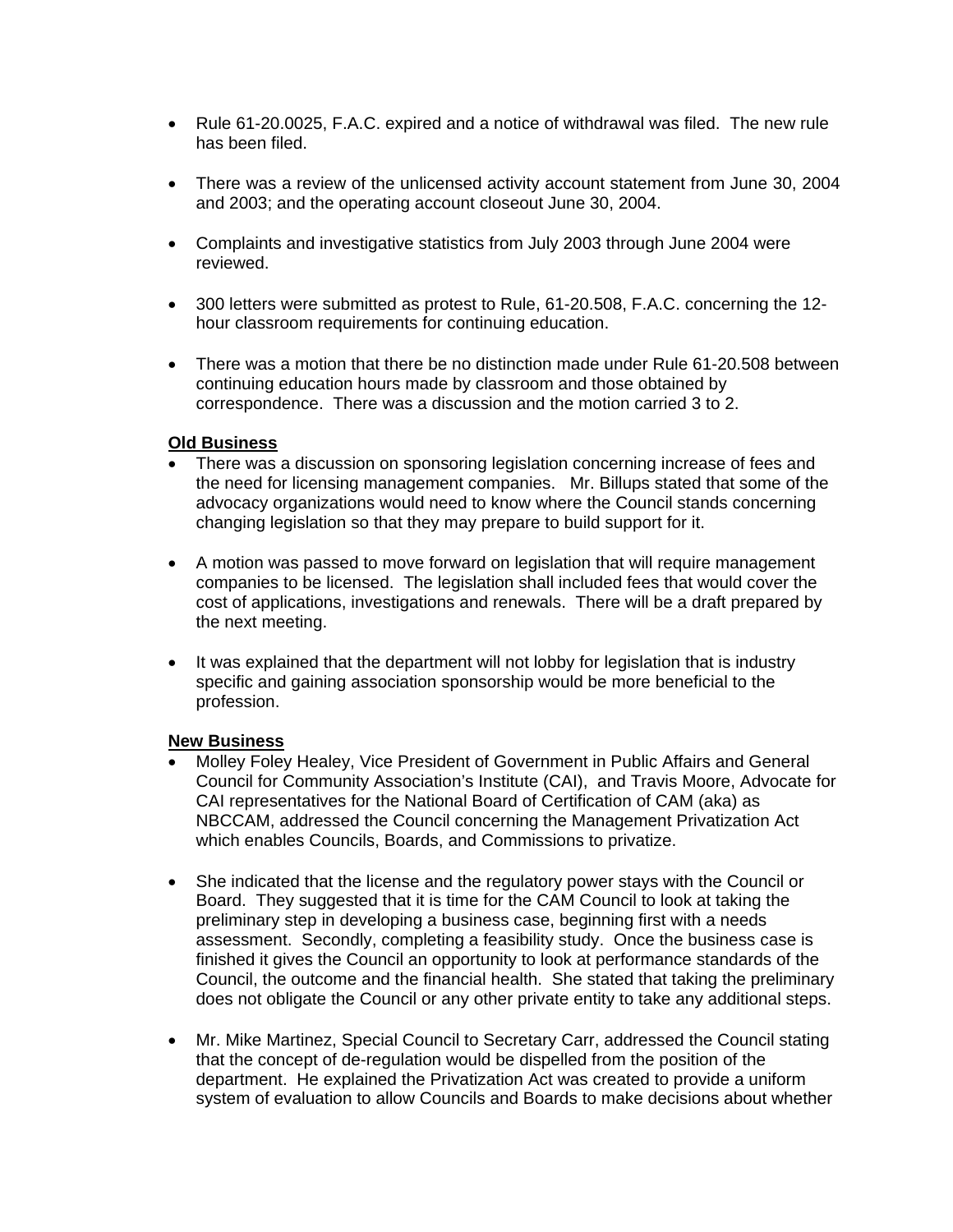- Rule 61-20.0025, F.A.C. expired and a notice of withdrawal was filed. The new rule has been filed.
- There was a review of the unlicensed activity account statement from June 30, 2004 and 2003; and the operating account closeout June 30, 2004.
- Complaints and investigative statistics from July 2003 through June 2004 were reviewed.
- 300 letters were submitted as protest to Rule, 61-20.508, F.A.C. concerning the 12 hour classroom requirements for continuing education.
- There was a motion that there be no distinction made under Rule 61-20.508 between continuing education hours made by classroom and those obtained by correspondence. There was a discussion and the motion carried 3 to 2.

#### **Old Business**

- There was a discussion on sponsoring legislation concerning increase of fees and the need for licensing management companies. Mr. Billups stated that some of the advocacy organizations would need to know where the Council stands concerning changing legislation so that they may prepare to build support for it.
- A motion was passed to move forward on legislation that will require management companies to be licensed. The legislation shall included fees that would cover the cost of applications, investigations and renewals. There will be a draft prepared by the next meeting.
- It was explained that the department will not lobby for legislation that is industry specific and gaining association sponsorship would be more beneficial to the profession.

#### **New Business**

- Molley Foley Healey, Vice President of Government in Public Affairs and General Council for Community Association's Institute (CAI), and Travis Moore, Advocate for CAI representatives for the National Board of Certification of CAM (aka) as NBCCAM, addressed the Council concerning the Management Privatization Act which enables Councils, Boards, and Commissions to privatize.
- She indicated that the license and the regulatory power stays with the Council or Board. They suggested that it is time for the CAM Council to look at taking the preliminary step in developing a business case, beginning first with a needs assessment. Secondly, completing a feasibility study. Once the business case is finished it gives the Council an opportunity to look at performance standards of the Council, the outcome and the financial health. She stated that taking the preliminary does not obligate the Council or any other private entity to take any additional steps.
- Mr. Mike Martinez, Special Council to Secretary Carr, addressed the Council stating that the concept of de-regulation would be dispelled from the position of the department. He explained the Privatization Act was created to provide a uniform system of evaluation to allow Councils and Boards to make decisions about whether